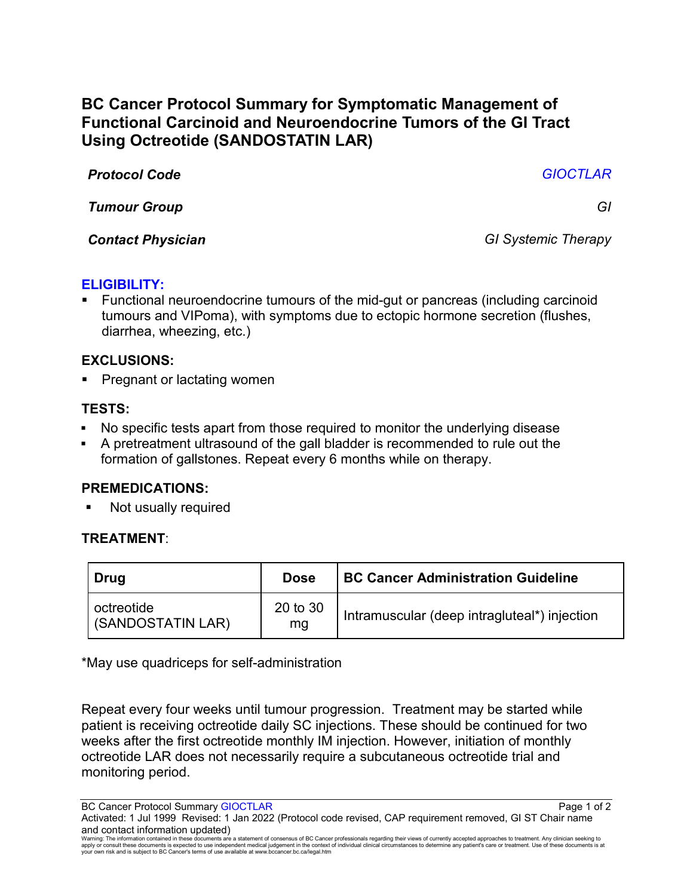# **BC Cancer Protocol Summary for Symptomatic Management of Functional Carcinoid and Neuroendocrine Tumors of the GI Tract Using Octreotide (SANDOSTATIN LAR)**

*Protocol Code GIOCTLAR*

*Tumour Group GI*

*Contact Physician GI Systemic Therapy*

#### **ELIGIBILITY:**

 Functional neuroendocrine tumours of the mid-gut or pancreas (including carcinoid tumours and VIPoma), with symptoms due to ectopic hormone secretion (flushes, diarrhea, wheezing, etc.)

## **EXCLUSIONS:**

Pregnant or lactating women

## **TESTS:**

- No specific tests apart from those required to monitor the underlying disease
- A pretreatment ultrasound of the gall bladder is recommended to rule out the formation of gallstones. Repeat every 6 months while on therapy.

# **PREMEDICATIONS:**

Not usually required

# **TREATMENT**:

| Drug                            | <b>Dose</b>    | <b>BC Cancer Administration Guideline</b>    |
|---------------------------------|----------------|----------------------------------------------|
| octreotide<br>(SANDOSTATIN LAR) | 20 to 30<br>mg | Intramuscular (deep intragluteal*) injection |

\*May use quadriceps for self-administration

Repeat every four weeks until tumour progression. Treatment may be started while patient is receiving octreotide daily SC injections. These should be continued for two weeks after the first octreotide monthly IM injection. However, initiation of monthly octreotide LAR does not necessarily require a subcutaneous octreotide trial and monitoring period.

BC Cancer Protocol Summary GIOCTLAR **Page 1 of 2** and 2

Activated: 1 Jul 1999 Revised: 1 Jan 2022 (Protocol code revised, CAP requirement removed, GI ST Chair name and contact information updated)

Warning: The information contained in these documents are a statement of consensus of BC Cancer professionals regarding their views of currently accepted approaches to treatment. Any clinician seeking to<br>apply or consult t